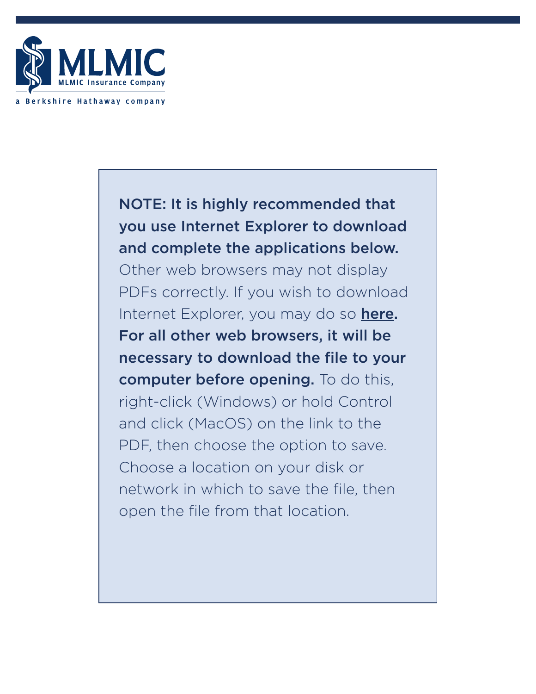

# NOTE: It is highly recommended that you use Internet Explorer to download and complete the applications below.

Other web browsers may not display PDFs correctly. If you wish to download Internet Explorer, you may do so [here](https://support.microsoft.com/en-US/topic/internet-explorer-downloads-d49e1f0d-571c-9a7b-d97e-be248806ca70). For all other web browsers, it will be necessary to download the file to your computer before opening. To do this, right-click (Windows) or hold Control and click (MacOS) on the link to the PDF, then choose the option to save. Choose a location on your disk or network in which to save the file, then open the file from that location.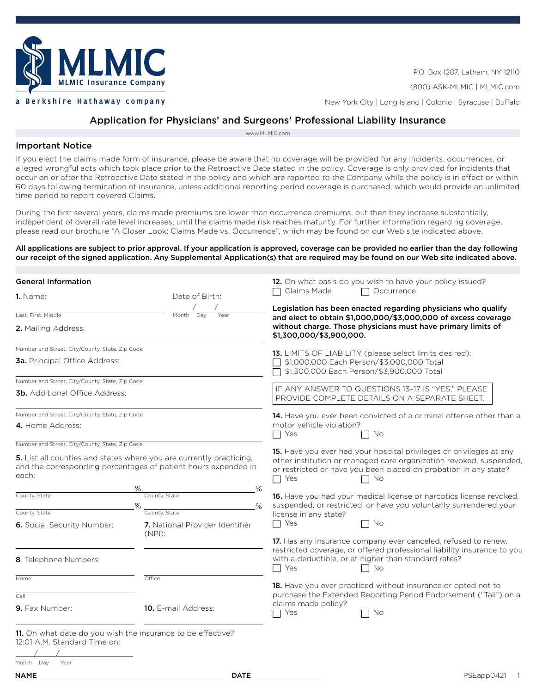

P.O. Box 1287, Latham, NY 12110 (800) ASK-MLMIC | MLMIC.com New York City | Long Island | Colonie | Syracuse | Buffalo

# Application for Physicians' and Surgeons' Professional Liability Insurance

[www.MLMIC.com](http://www.MLMIC.com)

## Important Notice

If you elect the claims made form of insurance, please be aware that no coverage will be provided for any incidents, occurrences, or alleged wrongful acts which took place prior to the Retroactive Date stated in the policy. Coverage is only provided for incidents that occur on or after the Retroactive Date stated in the policy and which are reported to the Company while the policy is in effect or within 60 days following termination of insurance, unless additional reporting period coverage is purchased, which would provide an unlimited time period to report covered Claims.

During the first several years, claims made premiums are lower than occurrence premiums, but then they increase substantially, independent of overall rate level increases, until the claims made risk reaches maturity. For further information regarding coverage, please read our brochure "A Closer Look: Claims Made vs. Occurrence", which may be found on our Web site indicated above.

#### All applications are subject to prior approval. If your application is approved, coverage can be provided no earlier than the day following our receipt of the signed application. Any Supplemental Application(s) that are required may be found on our Web site indicated above.

| <b>General Information</b>                                                                  |                                                                                                                                       | 12. On what basis do you wish to have your policy issued?                                                                                                            |
|---------------------------------------------------------------------------------------------|---------------------------------------------------------------------------------------------------------------------------------------|----------------------------------------------------------------------------------------------------------------------------------------------------------------------|
| 1. Name:                                                                                    | Date of Birth:                                                                                                                        | Claims Made<br>Occurrence<br>П                                                                                                                                       |
| Last, First, Middle                                                                         | Day<br>Year<br>Month                                                                                                                  | Legislation has been enacted regarding physicians who qualify<br>and elect to obtain \$1,000,000/\$3,000,000 of excess coverage                                      |
| 2. Mailing Address:                                                                         |                                                                                                                                       | without charge. Those physicians must have primary limits of<br>\$1,300,000/\$3,900,000.                                                                             |
| Number and Street, City/County, State, Zip Code                                             |                                                                                                                                       | 13. LIMITS OF LIABILITY (please select limits desired):                                                                                                              |
| <b>3a.</b> Principal Office Address:                                                        |                                                                                                                                       | \$1,000,000 Each Person/\$3,000,000 Total<br>\$1,300,000 Each Person/\$3,900,000 Total                                                                               |
| Number and Street, City/County, State, Zip Code                                             |                                                                                                                                       |                                                                                                                                                                      |
| <b>3b.</b> Additional Office Address:                                                       |                                                                                                                                       | IF ANY ANSWER TO QUESTIONS 13-17 IS "YES," PLEASE<br>PROVIDE COMPLETE DETAILS ON A SEPARATE SHEET.                                                                   |
| Number and Street, City/County, State, Zip Code                                             |                                                                                                                                       | 14. Have you ever been convicted of a criminal offense other than a                                                                                                  |
| 4. Home Address:                                                                            |                                                                                                                                       | motor vehicle violation?                                                                                                                                             |
|                                                                                             |                                                                                                                                       | Yes<br>No<br>$\blacksquare$                                                                                                                                          |
| Number and Street, City/County, State, Zip Code                                             |                                                                                                                                       | 15. Have you ever had your hospital privileges or privileges at any                                                                                                  |
| each:                                                                                       | 5. List all counties and states where you are currently practicing,<br>and the corresponding percentages of patient hours expended in | other institution or managed care organization revoked, suspended,<br>or restricted or have you been placed on probation in any state?<br>Yes<br>$\Box$ No<br>$\Box$ |
| County, State                                                                               | %<br>℅<br>County, State                                                                                                               | <b>16.</b> Have you had your medical license or narcotics license revoked.                                                                                           |
|                                                                                             |                                                                                                                                       | suspended, or restricted, or have you voluntarily surrendered your                                                                                                   |
| County, State                                                                               | County, State                                                                                                                         | license in any state?                                                                                                                                                |
| 6. Social Security Number:                                                                  | 7. National Provider Identifier<br>$(NPI)$ :                                                                                          | $\Box$ No<br>Yes<br>$\Box$                                                                                                                                           |
|                                                                                             |                                                                                                                                       | 17. Has any insurance company ever canceled, refused to renew,                                                                                                       |
| 8. Telephone Numbers:                                                                       |                                                                                                                                       | restricted coverage, or offered professional liability insurance to you<br>with a deductible, or at higher than standard rates?<br>$\Box$ Yes<br>$\Box$ No           |
| Home                                                                                        | Office                                                                                                                                |                                                                                                                                                                      |
|                                                                                             |                                                                                                                                       | <b>18.</b> Have you ever practiced without insurance or opted not to                                                                                                 |
| Cell                                                                                        |                                                                                                                                       | purchase the Extended Reporting Period Endorsement ("Tail") on a<br>claims made policy?                                                                              |
| 9. Fax Number:                                                                              | <b>10.</b> E-mail Address:                                                                                                            | Yes<br>No                                                                                                                                                            |
| 11. On what date do you wish the insurance to be effective?<br>12:01 A.M. Standard Time on: |                                                                                                                                       |                                                                                                                                                                      |

| Month | Day | Year |  |
|-------|-----|------|--|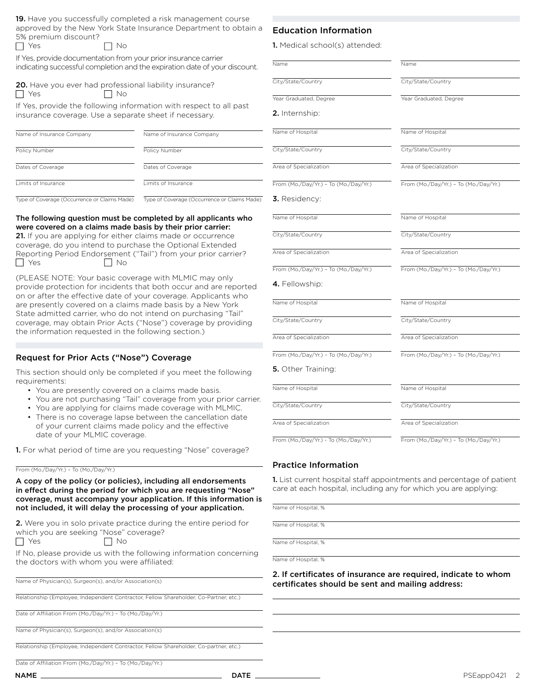19. Have you successfully completed a risk management course approved by the New York State Insurance Department to obtain a 5% premium discount?

| $\Box$ Yes<br>$\Box$ No |  |
|-------------------------|--|
|-------------------------|--|

If Yes, provide documentation from your prior insurance carrier indicating successful completion and the expiration date of your discount.

|            | <b>20.</b> Have you ever had professional liability insurance? |  |
|------------|----------------------------------------------------------------|--|
| $\Box$ Yes | No                                                             |  |

If Yes, provide the following information with respect to all past insurance coverage. Use a separate sheet if necessary.

| Name of Insurance Company | Name of Insurance Company |
|---------------------------|---------------------------|
| Policy Number             | Policy Number             |
| Dates of Coverage         | Dates of Coverage         |
| Limits of Insurance       | Limits of Insurance       |

Type of Coverage (Occurrence or Claims Made) Type of Coverage (Occurrence or Claims Made)

#### The following question must be completed by all applicants who were covered on a claims made basis by their prior carrier:

21. If you are applying for either claims made or occurrence coverage, do you intend to purchase the Optional Extended Reporting Period Endorsement ("Tail") from your prior carrier?  $\Box$  Yes  $\Box$  No

(PLEASE NOTE: Your basic coverage with MLMIC may only provide protection for incidents that both occur and are reported on or after the effective date of your coverage. Applicants who are presently covered on a claims made basis by a New York State admitted carrier, who do not intend on purchasing "Tail" coverage, may obtain Prior Acts ("Nose") coverage by providing the information requested in the following section.)

## Request for Prior Acts ("Nose") Coverage

This section should only be completed if you meet the following requirements:

- You are presently covered on a claims made basis.
- You are not purchasing "Tail" coverage from your prior carrier.
- You are applying for claims made coverage with MLMIC.
- There is no coverage lapse between the cancellation date of your current claims made policy and the effective date of your MLMIC coverage.

1. For what period of time are you requesting "Nose" coverage?

#### From (Mo./Day/Yr.) – To (Mo./Day/Yr.)

A copy of the policy (or policies), including all endorsements in effect during the period for which you are requesting "Nose" coverage, must accompany your application. If this information is not included, it will delay the processing of your application.

2. Were you in solo private practice during the entire period for which you are seeking "Nose" coverage?  $\Box$ No

|--|

| _____ | . .<br>$\sim$ |
|-------|---------------|
|       |               |

If No, please provide us with the following information concerning the doctors with whom you were affiliated:

Name of Physician(s), Surgeon(s), and/or Association(s)

Relationship (Employee, Independent Contractor, Fellow Shareholder, Co-Partner, etc.)

Date of Affiliation From (Mo./Day/Yr.) – To (Mo./Day/Yr.)

Name of Physician(s), Surgeon(s), and/or Association(s)

Relationship (Employee, Independent Contractor, Fellow Shareholder, Co-partner, etc.)

Date of Affiliation From (Mo./Day/Yr.) – To (Mo./Day/Yr.)

## Education Information

| Name                                  | Name                                  |
|---------------------------------------|---------------------------------------|
| City/State/Country                    | City/State/Country                    |
| Year Graduated, Degree                | Year Graduated, Degree                |
| <b>2.</b> Internship:                 |                                       |
| Name of Hospital                      | Name of Hospital                      |
| City/State/Country                    | City/State/Country                    |
| Area of Specialization                | Area of Specialization                |
| From (Mo./Day/Yr.) - To (Mo./Day/Yr.) | From (Mo./Day/Yr.) - To (Mo./Day/Yr.) |
| 3. Residency:                         |                                       |
| Name of Hospital                      | Name of Hospital                      |
| City/State/Country                    | City/State/Country                    |
| Area of Specialization                | Area of Specialization                |
| From (Mo./Day/Yr.) - To (Mo./Day/Yr.) | From (Mo./Day/Yr.) - To (Mo./Day/Yr.) |
| 4. Fellowship:                        |                                       |
| Name of Hospital                      | Name of Hospital                      |
| City/State/Country                    | City/State/Country                    |
| Area of Specialization                | Area of Specialization                |
| From (Mo./Day/Yr.) - To (Mo./Day/Yr.) | From (Mo./Day/Yr.) - To (Mo./Day/Yr.) |
| 5. Other Training:                    |                                       |
| Name of Hospital                      | Name of Hospital                      |
| City/State/Country                    | City/State/Country                    |
| Area of Specialization                | Area of Specialization                |
| From (Mo /Day/Yr) - To (Mo /Day/Yr)   | From (Mo /Day/Yr) - To (Mo /Day/Yr)   |

Practice Information

1. List current hospital staff appointments and percentage of patient care at each hospital, including any for which you are applying:

Name of Hospital, %

Name of Hospital, %

Name of Hospital, %

Name of Hospital, %

2. If certificates of insurance are required, indicate to whom certificates should be sent and mailing address: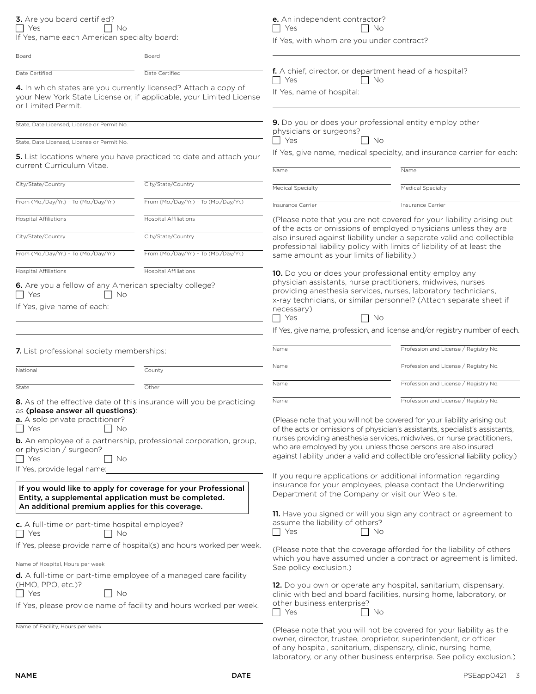3. Are you board certified?  $Yes$  No If Yes, name each American specialty board: e. An independent contractor?

 $Yes$  No

If Yes, with whom are you under contract?

| Board                                                                                                                                                                                 | Board                                                                                                                                            |                                                                                                                                                                                                                                                                                                                                                                                                                                           |                                                                                                                                                                                                     |                                  |
|---------------------------------------------------------------------------------------------------------------------------------------------------------------------------------------|--------------------------------------------------------------------------------------------------------------------------------------------------|-------------------------------------------------------------------------------------------------------------------------------------------------------------------------------------------------------------------------------------------------------------------------------------------------------------------------------------------------------------------------------------------------------------------------------------------|-----------------------------------------------------------------------------------------------------------------------------------------------------------------------------------------------------|----------------------------------|
| Date Certified<br>Date Certified                                                                                                                                                      |                                                                                                                                                  | f. A chief, director, or department head of a hospital?                                                                                                                                                                                                                                                                                                                                                                                   |                                                                                                                                                                                                     |                                  |
| 4. In which states are you currently licensed? Attach a copy of<br>or Limited Permit.                                                                                                 | your New York State License or, if applicable, your Limited License                                                                              | T Yes<br>No<br>If Yes, name of hospital:                                                                                                                                                                                                                                                                                                                                                                                                  |                                                                                                                                                                                                     |                                  |
| State, Date Licensed, License or Permit No.                                                                                                                                           |                                                                                                                                                  | 9. Do you or does your professional entity employ other<br>physicians or surgeons?                                                                                                                                                                                                                                                                                                                                                        |                                                                                                                                                                                                     |                                  |
| State, Date Licensed, License or Permit No.                                                                                                                                           |                                                                                                                                                  | T Yes<br>. No                                                                                                                                                                                                                                                                                                                                                                                                                             |                                                                                                                                                                                                     |                                  |
| current Curriculum Vitae.                                                                                                                                                             | 5. List locations where you have practiced to date and attach your                                                                               | Name                                                                                                                                                                                                                                                                                                                                                                                                                                      | If Yes, give name, medical specialty, and insurance carrier for each:<br>Name                                                                                                                       |                                  |
| City/State/Country                                                                                                                                                                    | City/State/Country                                                                                                                               | <b>Medical Specialty</b>                                                                                                                                                                                                                                                                                                                                                                                                                  | Medical Specialty                                                                                                                                                                                   |                                  |
| From (Mo./Day/Yr.) - To (Mo./Day/Yr.)                                                                                                                                                 | From (Mo./Day/Yr.) - To (Mo./Day/Yr.)                                                                                                            | Insurance Carrier                                                                                                                                                                                                                                                                                                                                                                                                                         | Insurance Carrier                                                                                                                                                                                   |                                  |
| <b>Hospital Affiliations</b>                                                                                                                                                          | <b>Hospital Affiliations</b>                                                                                                                     |                                                                                                                                                                                                                                                                                                                                                                                                                                           | (Please note that you are not covered for your liability arising out                                                                                                                                |                                  |
| City/State/Country                                                                                                                                                                    | City/State/Country                                                                                                                               | of the acts or omissions of employed physicians unless they are<br>also insured against liability under a separate valid and collectible                                                                                                                                                                                                                                                                                                  |                                                                                                                                                                                                     |                                  |
| From (Mo./Day/Yr.) - To (Mo./Day/Yr.)                                                                                                                                                 | From (Mo./Day/Yr.) - To (Mo./Day/Yr.)                                                                                                            | professional liability policy with limits of liability of at least the<br>same amount as your limits of liability.)                                                                                                                                                                                                                                                                                                                       |                                                                                                                                                                                                     |                                  |
| <b>Hospital Affiliations</b>                                                                                                                                                          | <b>Hospital Affiliations</b>                                                                                                                     | 10. Do you or does your professional entity employ any                                                                                                                                                                                                                                                                                                                                                                                    |                                                                                                                                                                                                     |                                  |
| 6. Are you a fellow of any American specialty college?<br>$\Box$ Yes<br>No                                                                                                            |                                                                                                                                                  |                                                                                                                                                                                                                                                                                                                                                                                                                                           | physician assistants, nurse practitioners, midwives, nurses<br>providing anesthesia services, nurses, laboratory technicians,<br>x-ray technicians, or similar personnel? (Attach separate sheet if |                                  |
| If Yes, give name of each:                                                                                                                                                            |                                                                                                                                                  | necessary)<br>Yes<br>– I No                                                                                                                                                                                                                                                                                                                                                                                                               |                                                                                                                                                                                                     |                                  |
|                                                                                                                                                                                       |                                                                                                                                                  |                                                                                                                                                                                                                                                                                                                                                                                                                                           | If Yes, give name, profession, and license and/or registry number of each.                                                                                                                          |                                  |
| 7. List professional society memberships:                                                                                                                                             |                                                                                                                                                  | Name                                                                                                                                                                                                                                                                                                                                                                                                                                      | Profession and License / Registry No.                                                                                                                                                               |                                  |
| National                                                                                                                                                                              | County                                                                                                                                           | Name                                                                                                                                                                                                                                                                                                                                                                                                                                      | Profession and License / Registry No.                                                                                                                                                               |                                  |
| State                                                                                                                                                                                 | Other                                                                                                                                            | Name                                                                                                                                                                                                                                                                                                                                                                                                                                      | Profession and License / Registry No.                                                                                                                                                               |                                  |
| as (please answer all questions):<br>a. A solo private practitioner?<br>Yes<br>No<br>or physician / surgeon?<br>$\Box$ Yes<br>- No                                                    | 8. As of the effective date of this insurance will you be practicing<br><b>b.</b> An employee of a partnership, professional corporation, group, | Profession and License / Registry No.<br>Name<br>(Please note that you will not be covered for your liability arising out<br>of the acts or omissions of physician's assistants, specialist's assistants,<br>nurses providing anesthesia services, midwives, or nurse practitioners,<br>who are employed by you, unless those persons are also insured<br>against liability under a valid and collectible professional liability policy.) |                                                                                                                                                                                                     |                                  |
| If Yes, provide legal name:<br>If you would like to apply for coverage for your Professional<br>Entity, a supplemental application must be completed.                                 |                                                                                                                                                  | If you require applications or additional information regarding<br>insurance for your employees, please contact the Underwriting<br>Department of the Company or visit our Web site.                                                                                                                                                                                                                                                      |                                                                                                                                                                                                     |                                  |
| An additional premium applies for this coverage.                                                                                                                                      |                                                                                                                                                  |                                                                                                                                                                                                                                                                                                                                                                                                                                           | 11. Have you signed or will you sign any contract or agreement to                                                                                                                                   |                                  |
| c. A full-time or part-time hospital employee?<br>$\Box$ Yes<br>l No                                                                                                                  |                                                                                                                                                  | assume the liability of others?<br>T Yes<br>No                                                                                                                                                                                                                                                                                                                                                                                            |                                                                                                                                                                                                     |                                  |
| If Yes, please provide name of hospital(s) and hours worked per week.                                                                                                                 |                                                                                                                                                  | (Please note that the coverage afforded for the liability of others<br>which you have assumed under a contract or agreement is limited.                                                                                                                                                                                                                                                                                                   |                                                                                                                                                                                                     |                                  |
| Name of Hospital, Hours per week                                                                                                                                                      |                                                                                                                                                  | See policy exclusion.)                                                                                                                                                                                                                                                                                                                                                                                                                    |                                                                                                                                                                                                     |                                  |
| <b>d.</b> A full-time or part-time employee of a managed care facility<br>(HMO, PPO, etc.)?<br>$\Box$ Yes<br>No<br>If Yes, please provide name of facility and hours worked per week. |                                                                                                                                                  | 12. Do you own or operate any hospital, sanitarium, dispensary,<br>clinic with bed and board facilities, nursing home, laboratory, or<br>other business enterprise?<br>Yes<br>No                                                                                                                                                                                                                                                          |                                                                                                                                                                                                     |                                  |
|                                                                                                                                                                                       |                                                                                                                                                  |                                                                                                                                                                                                                                                                                                                                                                                                                                           |                                                                                                                                                                                                     | Name of Facility, Hours per week |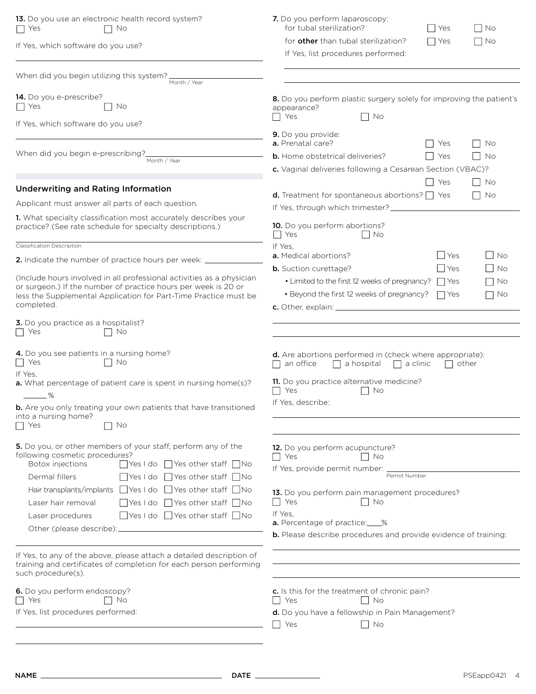| 13. Do you use an electronic health record system?<br>T Yes<br>No                                                                                                                                                                                           | 7. Do you perform laparoscopy:<br>for tubal sterilization?<br>l Yes<br>    No                                                                                                                                        |
|-------------------------------------------------------------------------------------------------------------------------------------------------------------------------------------------------------------------------------------------------------------|----------------------------------------------------------------------------------------------------------------------------------------------------------------------------------------------------------------------|
| If Yes, which software do you use?                                                                                                                                                                                                                          | for <b>other</b> than tubal sterilization?<br>$\Box$ Yes<br>$\Box$ No<br>If Yes, list procedures performed:                                                                                                          |
| When did you begin utilizing this system?<br>Month / Year                                                                                                                                                                                                   |                                                                                                                                                                                                                      |
| 14. Do you e-prescribe?<br><b>T</b> Yes<br>No                                                                                                                                                                                                               | 8. Do you perform plastic surgery solely for improving the patient's<br>appearance?<br>Yes<br>No                                                                                                                     |
| If Yes, which software do you use?                                                                                                                                                                                                                          | 9. Do you provide:                                                                                                                                                                                                   |
| When did you begin e-prescribing?                                                                                                                                                                                                                           | a. Prenatal care?<br>l I Yes<br>No<br><b>b.</b> Home obstetrical deliveries?<br>l I Yes<br>l I No                                                                                                                    |
| Month / Year                                                                                                                                                                                                                                                | c. Vaginal deliveries following a Cesarean Section (VBAC)?                                                                                                                                                           |
|                                                                                                                                                                                                                                                             | Yes<br>    No                                                                                                                                                                                                        |
| <b>Underwriting and Rating Information</b>                                                                                                                                                                                                                  | <b>d.</b> Treatment for spontaneous abortions? $\Box$ Yes<br>No                                                                                                                                                      |
| Applicant must answer all parts of each question.                                                                                                                                                                                                           | If Yes, through which trimester?                                                                                                                                                                                     |
| 1. What specialty classification most accurately describes your<br>practice? (See rate schedule for specialty descriptions.)                                                                                                                                | <b>10.</b> Do you perform abortions?<br>$\Box$ Yes<br>$\Box$ No                                                                                                                                                      |
| Classification Description                                                                                                                                                                                                                                  | If Yes,                                                                                                                                                                                                              |
| 2. Indicate the number of practice hours per week: _                                                                                                                                                                                                        | <b>Yes</b><br>l No<br>a. Medical abortions?<br>  Yes<br><b>b.</b> Suction curettage?<br>l No                                                                                                                         |
| (Include hours involved in all professional activities as a physician                                                                                                                                                                                       | • Limited to the first 12 weeks of pregnancy?<br>$\Box$ Yes<br>$\overline{\phantom{0}}$<br>No                                                                                                                        |
| or surgeon.) If the number of practice hours per week is 20 or<br>less the Supplemental Application for Part-Time Practice must be                                                                                                                          | $\cdot$ Beyond the first 12 weeks of pregnancy? $\Box$ Yes<br>$\Box$<br>No                                                                                                                                           |
| completed.                                                                                                                                                                                                                                                  |                                                                                                                                                                                                                      |
| 3. Do you practice as a hospitalist?<br>$\Box$ Yes<br>No                                                                                                                                                                                                    |                                                                                                                                                                                                                      |
| 4. Do you see patients in a nursing home?<br>$ $ Yes<br>$\vert$   No<br>If Yes.<br>a. What percentage of patient care is spent in nursing home(s)?<br>%<br><b>b.</b> Are you only treating your own patients that have transitioned<br>into a nursing home? | <b>d.</b> Are abortions performed in (check where appropriate):<br>an office<br>$\Box$ a hospital $\Box$ a clinic<br>other<br>11. Do you practice alternative medicine?<br>$\Box$ Yes<br>    No<br>If Yes, describe: |
| $\Box$ Yes<br>No                                                                                                                                                                                                                                            |                                                                                                                                                                                                                      |
| 5. Do you, or other members of your staff, perform any of the<br>following cosmetic procedures?<br>Botox injections<br>$\Box$ Yes I do $\Box$ Yes other staff $\Box$ No<br>$\Box$ Yes I do $\Box$ Yes other staff $\Box$ No<br>Dermal fillers               | 12. Do you perform acupuncture?<br>$\Box$ Yes<br>$\Box$ No<br>If Yes, provide permit number: _<br>Permit Number                                                                                                      |
| Hair transplants/implants I Yes I do I Yes other staff I No<br>$\Box$ Yes I do $\Box$ Yes other staff $\Box$ No<br>Laser hair removal                                                                                                                       | 13. Do you perform pain management procedures?<br>$\Box$ Yes<br>$\Box$ No                                                                                                                                            |
| $\Box$ Yes I do $\Box$ Yes other staff $\Box$ No<br>Laser procedures                                                                                                                                                                                        | If Yes.                                                                                                                                                                                                              |
| Other (please describe):_                                                                                                                                                                                                                                   | <b>a.</b> Percentage of practice:____%<br><b>b.</b> Please describe procedures and provide evidence of training:                                                                                                     |
| If Yes, to any of the above, please attach a detailed description of<br>training and certificates of completion for each person performing<br>such procedure(s).                                                                                            |                                                                                                                                                                                                                      |
| 6. Do you perform endoscopy?<br>∩ No<br>l I Yes                                                                                                                                                                                                             | c. Is this for the treatment of chronic pain?<br>$\Box$ No<br>Yes<br>$\blacksquare$                                                                                                                                  |
| If Yes, list procedures performed:                                                                                                                                                                                                                          | d. Do you have a fellowship in Pain Management?<br>Yes<br>    No                                                                                                                                                     |
|                                                                                                                                                                                                                                                             |                                                                                                                                                                                                                      |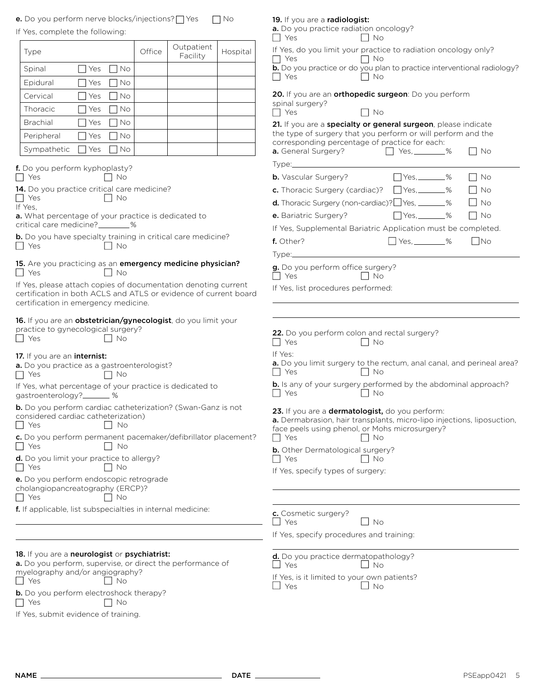**e.** Do you perform nerve blocks/injections?  $\Box$  Yes  $\Box$  No

|  |  | If Yes, complete the following: |  |
|--|--|---------------------------------|--|
|  |  |                                 |  |

| If Yes, complete the following:                                                                                                                                            | a. Do you practice radiation oncology?<br>$\Box$ Yes<br>IINo                                                              |
|----------------------------------------------------------------------------------------------------------------------------------------------------------------------------|---------------------------------------------------------------------------------------------------------------------------|
| Outpatient<br>Office<br>Hospital<br>Type<br>Facility                                                                                                                       | If Yes, do you limit your practice to radiation oncology only?<br>$\Box$ Yes<br>$\Box$ No                                 |
| <b>Nes</b><br>Spinal<br>  No                                                                                                                                               | b. Do you practice or do you plan to practice interventional radiology?                                                   |
| $\Box$ Yes<br><b>No</b><br>Epidural                                                                                                                                        | $\Box$ No<br>$\Box$ Yes                                                                                                   |
| Cervical<br><b>TYes</b><br>  No                                                                                                                                            | 20. If you are an orthopedic surgeon: Do you perform                                                                      |
| Thoracic<br>$\Box$ Yes<br>I No                                                                                                                                             | spinal surgery?<br>$\Box$ Yes<br>$\Box$ No                                                                                |
| <b>Brachial</b><br>Yes<br>I No                                                                                                                                             | 21. If you are a specialty or general surgeon, please indicate                                                            |
| $\Box$ Yes<br>No<br>Peripheral                                                                                                                                             | the type of surgery that you perform or will perform and the                                                              |
| Sympathetic<br>$\Box$ Yes<br><b>No</b>                                                                                                                                     | corresponding percentage of practice for each:<br>a. General Surgery?<br>$\Box$ Yes, _________%<br>– I No                 |
|                                                                                                                                                                            |                                                                                                                           |
| f. Do you perform kyphoplasty?<br>$\Box$ Yes<br>$\vert$ $\vert$ No                                                                                                         | $Yes, \_\_\_\%$<br><b>b.</b> Vascular Surgery?<br>$\Box$ No                                                               |
| 14. Do you practice critical care medicine?                                                                                                                                | c. Thoracic Surgery (cardiac)? □ Yes, ______%<br>$\Box$ No                                                                |
| $\blacksquare$ Yes<br>$\Box$ No<br>If Yes,                                                                                                                                 | <b>d.</b> Thoracic Surgery (non-cardiac)? $\Box$ Yes, $\_\_\_\_\_\_\_\$ %<br>$\overline{\phantom{a}}$ No                  |
| a. What percentage of your practice is dedicated to                                                                                                                        | $\Box$ Yes, ________%<br>e. Bariatric Surgery?<br>l No                                                                    |
| critical care medicine?_________%                                                                                                                                          | If Yes, Supplemental Bariatric Application must be completed.                                                             |
| <b>b.</b> Do you have specialty training in critical care medicine?<br>$\Box$ Yes<br>$\vert$ $\vert$ No                                                                    | $Yes, \_\_\_\%$<br>$\Box$ No<br>f. Other?                                                                                 |
|                                                                                                                                                                            |                                                                                                                           |
| 15. Are you practicing as an emergency medicine physician?<br>  Yes<br>$\mathsf{I}$ No                                                                                     | g. Do you perform office surgery?<br>$\Box$ Yes<br>$\Box$ No                                                              |
| If Yes, please attach copies of documentation denoting current<br>certification in both ACLS and ATLS or evidence of current board<br>certification in emergency medicine. | If Yes, list procedures performed:                                                                                        |
| 16. If you are an obstetrician/gynecologist, do you limit your                                                                                                             |                                                                                                                           |
| practice to gynecological surgery?<br>  Yes<br><b>No</b><br>$\vert \ \ \vert$                                                                                              | 22. Do you perform colon and rectal surgery?<br>Yes<br>$\Box$ No                                                          |
| 17. If you are an internist:                                                                                                                                               | If Yes:                                                                                                                   |
| a. Do you practice as a gastroenterologist?<br>$\Box$ Yes<br>No ∴and No                                                                                                    | a. Do you limit surgery to the rectum, anal canal, and perineal area?<br>$\Box$ Yes<br>I I No                             |
| If Yes, what percentage of your practice is dedicated to<br>gastroenterology?_______ %                                                                                     | <b>b.</b> Is any of your surgery performed by the abdominal approach?<br>$\blacksquare$ Yes<br>    No                     |
| b. Do you perform cardiac catheterization? (Swan-Ganz is not<br>considered cardiac catheterization)                                                                        | 23. If you are a dermatologist, do you perform:<br>a. Dermabrasion, hair transplants, micro-lipo injections, liposuction, |
| No<br>Yes                                                                                                                                                                  | face peels using phenol, or Mohs microsurgery?                                                                            |
| c. Do you perform permanent pacemaker/defibrillator placement?<br>Yes<br>. No                                                                                              | Yes<br>  No<br>$\Box$                                                                                                     |
| d. Do you limit your practice to allergy?                                                                                                                                  | <b>b.</b> Other Dermatological surgery?<br>Yes<br>∣ No                                                                    |
| l I Yes<br>I No                                                                                                                                                            | If Yes, specify types of surgery:                                                                                         |
| e. Do you perform endoscopic retrograde<br>cholangiopancreatography (ERCP)?<br>$\Box$ Yes<br>No                                                                            |                                                                                                                           |
| <b>f.</b> If applicable, list subspecialties in internal medicine:                                                                                                         | c. Cosmetic surgery?                                                                                                      |
|                                                                                                                                                                            | Yes<br>$\Box$ No                                                                                                          |
|                                                                                                                                                                            | If Yes, specify procedures and training:                                                                                  |
| 18. If you are a neurologist or psychiatrist:                                                                                                                              | d. Do you practice dermatopathology?                                                                                      |
| a. Do you perform, supervise, or direct the performance of<br>myelography and/or angiography?                                                                              | $\Box$ Yes<br>$\Box$ No                                                                                                   |
| Yes<br>- No                                                                                                                                                                | If Yes, is it limited to your own patients?<br>$\Box$ Yes<br>$\Box$ No                                                    |
| <b>b.</b> Do you perform electroshock therapy?<br>$\Box$ Yes<br>II No                                                                                                      |                                                                                                                           |
| If Yes, submit evidence of training.                                                                                                                                       |                                                                                                                           |
|                                                                                                                                                                            |                                                                                                                           |

19. If you are a radiologist: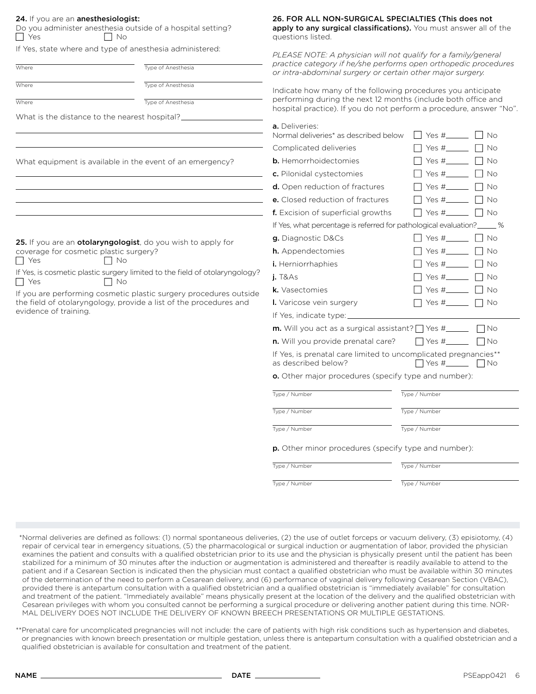| $\Box$ Yes                             | Do you administer anesthesia outside of a hospital setting?<br>$\Box$ No                 | apply to any surgical classifications). You must answer all of the<br>questions listed.                                                                                                                                                                                                                                                                                                                      |                                                |  |  |  |  |
|----------------------------------------|------------------------------------------------------------------------------------------|--------------------------------------------------------------------------------------------------------------------------------------------------------------------------------------------------------------------------------------------------------------------------------------------------------------------------------------------------------------------------------------------------------------|------------------------------------------------|--|--|--|--|
|                                        | If Yes, state where and type of anesthesia administered:                                 | PLEASE NOTE: A physician will not qualify for a family/general                                                                                                                                                                                                                                                                                                                                               |                                                |  |  |  |  |
| Where                                  | Type of Anesthesia                                                                       | practice category if he/she performs open orthopedic procedures<br>or intra-abdominal surgery or certain other major surgery.                                                                                                                                                                                                                                                                                |                                                |  |  |  |  |
| Where                                  | Type of Anesthesia                                                                       | Indicate how many of the following procedures you anticipate                                                                                                                                                                                                                                                                                                                                                 |                                                |  |  |  |  |
| Where                                  | Type of Anesthesia                                                                       | performing during the next 12 months (include both office and                                                                                                                                                                                                                                                                                                                                                |                                                |  |  |  |  |
|                                        | What is the distance to the nearest hospital?                                            | hospital practice). If you do not perform a procedure, answer "No".                                                                                                                                                                                                                                                                                                                                          |                                                |  |  |  |  |
|                                        |                                                                                          | <b>a.</b> Deliveries:<br>Normal deliveries* as described below                                                                                                                                                                                                                                                                                                                                               | $Yes #$ $ $ $ $ $No$<br>$\perp$                |  |  |  |  |
|                                        |                                                                                          | Complicated deliveries                                                                                                                                                                                                                                                                                                                                                                                       | $Yes #$ $\Box$ $\Box$ $\Box$ $\Box$ $\Diamond$ |  |  |  |  |
|                                        | What equipment is available in the event of an emergency?                                | <b>b.</b> Hemorrhoidectomies                                                                                                                                                                                                                                                                                                                                                                                 | Yes # $\qquad \qquad$ No                       |  |  |  |  |
|                                        |                                                                                          | c. Pilonidal cystectomies                                                                                                                                                                                                                                                                                                                                                                                    | Yes #<br>l No                                  |  |  |  |  |
|                                        |                                                                                          | <b>d.</b> Open reduction of fractures                                                                                                                                                                                                                                                                                                                                                                        | - No                                           |  |  |  |  |
|                                        |                                                                                          | e. Closed reduction of fractures                                                                                                                                                                                                                                                                                                                                                                             | Yes $#_$<br>No                                 |  |  |  |  |
|                                        |                                                                                          | f. Excision of superficial growths                                                                                                                                                                                                                                                                                                                                                                           | Yes #_____<br>. No                             |  |  |  |  |
|                                        |                                                                                          | If Yes, what percentage is referred for pathological evaluation?                                                                                                                                                                                                                                                                                                                                             |                                                |  |  |  |  |
|                                        | 25. If you are an otolaryngologist, do you wish to apply for                             | g. Diagnostic D&Cs                                                                                                                                                                                                                                                                                                                                                                                           | Yes #<br>I No                                  |  |  |  |  |
| coverage for cosmetic plastic surgery? |                                                                                          | <b>h.</b> Appendectomies                                                                                                                                                                                                                                                                                                                                                                                     | $Yes#$  <br>i No                               |  |  |  |  |
| $\Box$ Yes                             | No                                                                                       | i. Herniorrhaphies                                                                                                                                                                                                                                                                                                                                                                                           | Yes $\#$<br>$\sqsupset$ No                     |  |  |  |  |
| $\Box$ Yes                             | If Yes, is cosmetic plastic surgery limited to the field of otolaryngology?<br>$\Box$ No | $j.$ T&As                                                                                                                                                                                                                                                                                                                                                                                                    |                                                |  |  |  |  |
|                                        | If you are performing cosmetic plastic surgery procedures outside                        | k. Vasectomies                                                                                                                                                                                                                                                                                                                                                                                               | Yes # II No                                    |  |  |  |  |
|                                        | the field of otolaryngology, provide a list of the procedures and                        | I. Varicose vein surgery                                                                                                                                                                                                                                                                                                                                                                                     | Yes $\#$   No                                  |  |  |  |  |
| evidence of training.                  |                                                                                          | If Yes, indicate type: __                                                                                                                                                                                                                                                                                                                                                                                    |                                                |  |  |  |  |
|                                        |                                                                                          | <b>m.</b> Will you act as a surgical assistant? $\Box$ Yes $\#$ ________.<br>I INo                                                                                                                                                                                                                                                                                                                           |                                                |  |  |  |  |
|                                        |                                                                                          | <b>n.</b> Will you provide prenatal care?<br>    Yes #______<br>$\lceil$ $\lceil$ $\lceil$ $\lceil$ $\lceil$ $\lceil$ $\lceil$ $\lceil$ $\lceil$ $\lceil$ $\lceil$ $\lceil$ $\lceil$ $\lceil$ $\lceil$ $\lceil$ $\lceil$ $\lceil$ $\lceil$ $\lceil$ $\lceil$ $\lceil$ $\lceil$ $\lceil$ $\lceil$ $\lceil$ $\lceil$ $\lceil$ $\lceil$ $\lceil$ $\lceil$ $\lceil$ $\lceil$ $\lceil$ $\lceil$ $\lceil$ $\lceil$ |                                                |  |  |  |  |
|                                        |                                                                                          | If Yes, is prenatal care limited to uncomplicated pregnancies**<br>as described below?                                                                                                                                                                                                                                                                                                                       |                                                |  |  |  |  |
|                                        |                                                                                          | <b>o.</b> Other major procedures (specify type and number):                                                                                                                                                                                                                                                                                                                                                  |                                                |  |  |  |  |
|                                        |                                                                                          | Type / Number                                                                                                                                                                                                                                                                                                                                                                                                | Type / Number                                  |  |  |  |  |
|                                        |                                                                                          | Type / Number                                                                                                                                                                                                                                                                                                                                                                                                | Type / Number                                  |  |  |  |  |
|                                        |                                                                                          | Type / Number<br>Type / Number                                                                                                                                                                                                                                                                                                                                                                               |                                                |  |  |  |  |
|                                        |                                                                                          | p. Other minor procedures (specify type and number):                                                                                                                                                                                                                                                                                                                                                         |                                                |  |  |  |  |
|                                        |                                                                                          | Type / Number                                                                                                                                                                                                                                                                                                                                                                                                | Type / Number                                  |  |  |  |  |
|                                        |                                                                                          | Type / Number                                                                                                                                                                                                                                                                                                                                                                                                | Type / Number                                  |  |  |  |  |

\*Normal deliveries are defined as follows: (1) normal spontaneous deliveries, (2) the use of outlet forceps or vacuum delivery, (3) episiotomy, (4) repair of cervical tear in emergency situations, (5) the pharmacological or surgical induction or augmentation of labor, provided the physician examines the patient and consults with a qualified obstetrician prior to its use and the physician is physically present until the patient has been stabilized for a minimum of 30 minutes after the induction or augmentation is administered and thereafter is readily available to attend to the patient and if a Cesarean Section is indicated then the physician must contact a qualified obstetrician who must be available within 30 minutes of the determination of the need to perform a Cesarean delivery, and (6) performance of vaginal delivery following Cesarean Section (VBAC), provided there is antepartum consultation with a qualified obstetrician and a qualified obstetrician is "immediately available" for consultation and treatment of the patient. "Immediately available" means physically present at the location of the delivery and the qualified obstetrician with Cesarean privileges with whom you consulted cannot be performing a surgical procedure or delivering another patient during this time. NOR-MAL DELIVERY DOES NOT INCLUDE THE DELIVERY OF KNOWN BREECH PRESENTATIONS OR MULTIPLE GESTATIONS.

\*\*Prenatal care for uncomplicated pregnancies will not include: the care of patients with high risk conditions such as hypertension and diabetes, or pregnancies with known breech presentation or multiple gestation, unless there is antepartum consultation with a qualified obstetrician and a qualified obstetrician is available for consultation and treatment of the patient.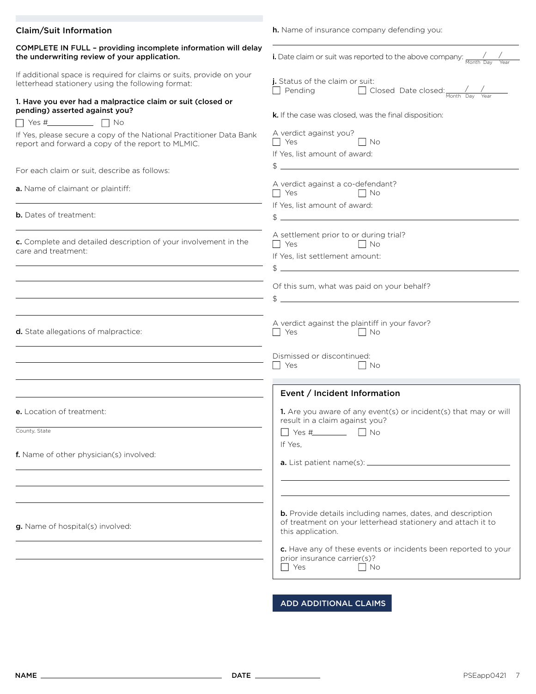| <b>Claim/Suit Information</b>                                                                                             | <b>h.</b> Name of insurance company defending you:                                                                                                                                                                                                                  |
|---------------------------------------------------------------------------------------------------------------------------|---------------------------------------------------------------------------------------------------------------------------------------------------------------------------------------------------------------------------------------------------------------------|
| COMPLETE IN FULL - providing incomplete information will delay<br>the underwriting review of your application.            | <b>i.</b> Date claim or suit was reported to the above company: $\frac{1}{\text{Month Day } \text{Year}}$                                                                                                                                                           |
| If additional space is required for claims or suits, provide on your<br>letterhead stationery using the following format: | j. Status of the claim or suit:<br>□ Pending □ Closed Date closed: //                                                                                                                                                                                               |
| 1. Have you ever had a malpractice claim or suit (closed or<br>pending) asserted against you?                             | k. If the case was closed, was the final disposition:                                                                                                                                                                                                               |
| If Yes, please secure a copy of the National Practitioner Data Bank<br>report and forward a copy of the report to MLMIC.  | A verdict against you?<br>$\Box$ Yes<br>$\vert$ $\vert$ No<br>If Yes, list amount of award:                                                                                                                                                                         |
| For each claim or suit, describe as follows:                                                                              | $\mathfrak{S}$                                                                                                                                                                                                                                                      |
| a. Name of claimant or plaintiff:                                                                                         | A verdict against a co-defendant?<br>$\Box$ Yes<br>$\Box$ No                                                                                                                                                                                                        |
| <b>b.</b> Dates of treatment:                                                                                             | If Yes, list amount of award:<br>$\frac{1}{2}$                                                                                                                                                                                                                      |
| c. Complete and detailed description of your involvement in the<br>care and treatment:                                    | A settlement prior to or during trial?<br>$\Box$ Yes<br>$\Box$ No<br>If Yes, list settlement amount:<br>$\begin{array}{c}\n\updownarrow \\ \hline\n\end{array}$                                                                                                     |
|                                                                                                                           | Of this sum, what was paid on your behalf?<br>$\frac{1}{2}$                                                                                                                                                                                                         |
| d. State allegations of malpractice:                                                                                      | A verdict against the plaintiff in your favor?<br><b>Nesternal Structure</b><br>$\Box$ No<br>Dismissed or discontinued:                                                                                                                                             |
|                                                                                                                           | Yes<br>$\Box$ No                                                                                                                                                                                                                                                    |
|                                                                                                                           | Event / Incident Information                                                                                                                                                                                                                                        |
| <b>e.</b> Location of treatment:                                                                                          | 1. Are you aware of any event(s) or incident(s) that may or will<br>result in a claim against you?                                                                                                                                                                  |
| County, State<br>f. Name of other physician(s) involved:                                                                  | If Yes,                                                                                                                                                                                                                                                             |
| g. Name of hospital(s) involved:                                                                                          | b. Provide details including names, dates, and description<br>of treatment on your letterhead stationery and attach it to<br>this application.<br>c. Have any of these events or incidents been reported to your<br>prior insurance carrier(s)?<br>Yes<br><b>No</b> |
|                                                                                                                           | <b>ADD ADDITIONAL CLAIMS</b>                                                                                                                                                                                                                                        |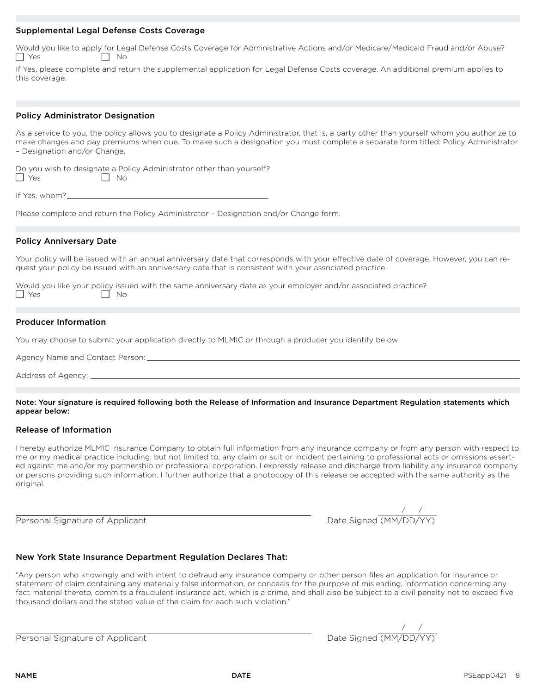#### Supplemental Legal Defense Costs Coverage

|            |           |  | Would you like to apply for Legal Defense Costs Coverage for Administrative Actions and/or Medicare/Medicaid Fraud and/or Abuse? |  |
|------------|-----------|--|----------------------------------------------------------------------------------------------------------------------------------|--|
| $\Box$ Yes | $\Box$ No |  |                                                                                                                                  |  |

If Yes, please complete and return the supplemental application for Legal Defense Costs coverage. An additional premium applies to this coverage.

## Policy Administrator Designation

As a service to you, the policy allows you to designate a Policy Administrator, that is, a party other than yourself whom you authorize to make changes and pay premiums when due. To make such a designation you must complete a separate form titled: Policy Administrator – Designation and/or Change.

|            |                             | Do you wish to designate a Policy Administrator other than yourself? |
|------------|-----------------------------|----------------------------------------------------------------------|
| $\Box$ Yes | $\overline{\phantom{a}}$ No |                                                                      |

| If Yes, whom?_ |  |
|----------------|--|
|                |  |

Please complete and return the Policy Administrator – Designation and/or Change form.

## Policy Anniversary Date

Your policy will be issued with an annual anniversary date that corresponds with your effective date of coverage. However, you can request your policy be issued with an anniversary date that is consistent with your associated practice.

| Would you like your policy issued with the same anniversary date as your employer and/or associated practice? |                             |  |  |  |  |  |
|---------------------------------------------------------------------------------------------------------------|-----------------------------|--|--|--|--|--|
| $\Box$ Yes                                                                                                    | $\overline{\phantom{a}}$ No |  |  |  |  |  |

#### Producer Information

You may choose to submit your application directly to MLMIC or through a producer you identify below:

Agency Name and Contact Person:

Address of Agency:

Note: Your signature is required following both the Release of Information and Insurance Department Regulation statements which appear below:

#### Release of Information

I hereby authorize MLMIC insurance Company to obtain full information from any insurance company or from any person with respect to me or my medical practice including, but not limited to, any claim or suit or incident pertaining to professional acts or omissions asserted against me and/or my partnership or professional corporation. I expressly release and discharge from liability any insurance company or persons providing such information. I further authorize that a photocopy of this release be accepted with the same authority as the original.

Personal Signature of Applicant Date Signed (MM/DD/Y) and Date Signed (MM/DD/YY) and D

| ate Signed (MM/DD/YY) |  |
|-----------------------|--|

## New York State Insurance Department Regulation Declares That:

"Any person who knowingly and with intent to defraud any insurance company or other person files an application for insurance or statement of claim containing any materially false information, or conceals for the purpose of misleading, information concerning any fact material thereto, commits a fraudulent insurance act, which is a crime, and shall also be subject to a civil penalty not to exceed five thousand dollars and the stated value of the claim for each such violation."

Personal Signature of Applicant Date Signed (MM/DD) and Date Signed (MM/DD) and Date Signed (MM/DD) and Date Signed (MM/DD) and Date Signed (MM/DD) and Date Signed (MM/DD) and Date Signed (MM/DD) and Date Signed (MM/DD) an

| te Signed (MM/DD/YY) |  |
|----------------------|--|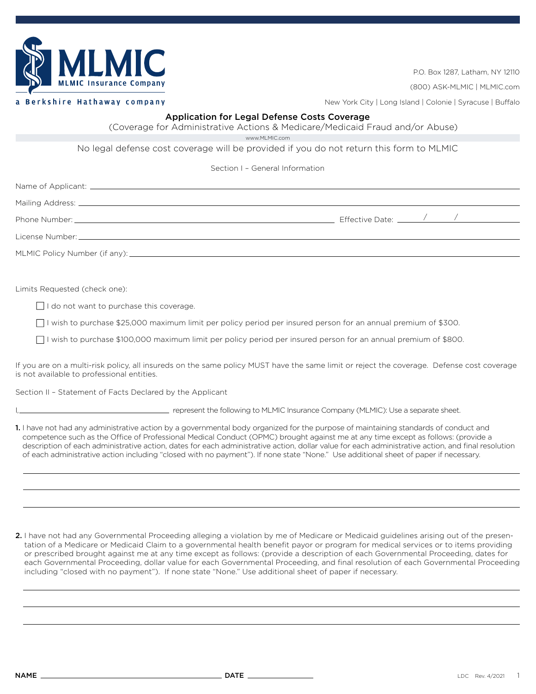

P.O. Box 1287, Latham, NY 12110

(800) ASK-MLMIC | MLMIC.com

Berkshire Hathaway company

New York City | Long Island | Colonie | Syracuse | Buffalo

## Application for Legal Defense Costs Coverage

(Coverage for Administrative Actions & Medicare/Medicaid Fraud and/or Abuse)

www.MLMIC.com

No legal defense cost coverage will be provided if you do not return this form to MLMIC

Section I – General Information

Name of Applicant:

Mailing Address: \_\_

Phone Number: Effective Date: / /

License Number:

MLMIC Policy Number (if any):

Limits Requested (check one):

 $\Box$  I do not want to purchase this coverage.

I wish to purchase \$25,000 maximum limit per policy period per insured person for an annual premium of \$300.

 $\Box$  I wish to purchase \$100,000 maximum limit per policy period per insured person for an annual premium of \$800.

If you are on a multi-risk policy, all insureds on the same policy MUST have the same limit or reject the coverage. Defense cost coverage is not available to professional entities.

Section II – Statement of Facts Declared by the Applicant

I, represent the following to MLMIC Insurance Company (MLMIC): Use a separate sheet.

1. I have not had any administrative action by a governmental body organized for the purpose of maintaining standards of conduct and competence such as the Office of Professional Medical Conduct (OPMC) brought against me at any time except as follows: (provide a description of each administrative action, dates for each administrative action, dollar value for each administrative action, and final resolution of each administrative action including "closed with no payment"). If none state "None." Use additional sheet of paper if necessary.

2. I have not had any Governmental Proceeding alleging a violation by me of Medicare or Medicaid guidelines arising out of the presentation of a Medicare or Medicaid Claim to a governmental health benefit payor or program for medical services or to items providing or prescribed brought against me at any time except as follows: (provide a description of each Governmental Proceeding, dates for each Governmental Proceeding, dollar value for each Governmental Proceeding, and final resolution of each Governmental Proceeding including "closed with no payment"). If none state "None." Use additional sheet of paper if necessary.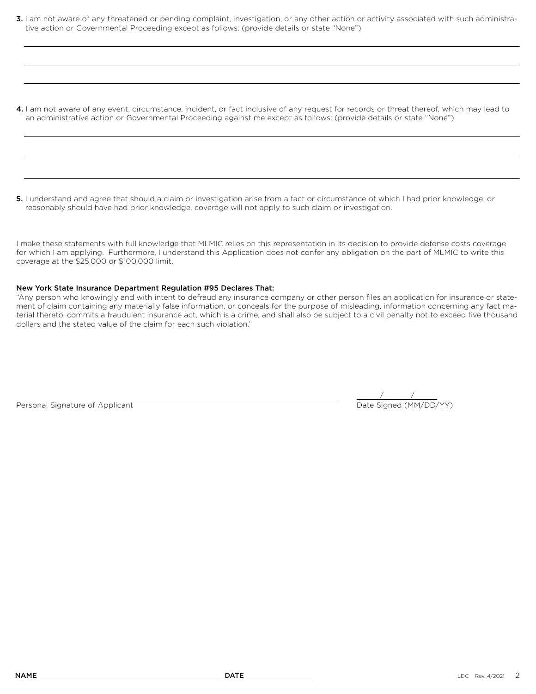3. I am not aware of any threatened or pending complaint, investigation, or any other action or activity associated with such administrative action or Governmental Proceeding except as follows: (provide details or state "None")

4. I am not aware of any event, circumstance, incident, or fact inclusive of any request for records or threat thereof, which may lead to an administrative action or Governmental Proceeding against me except as follows: (provide details or state "None")

5. I understand and agree that should a claim or investigation arise from a fact or circumstance of which I had prior knowledge, or reasonably should have had prior knowledge, coverage will not apply to such claim or investigation.

I make these statements with full knowledge that MLMIC relies on this representation in its decision to provide defense costs coverage for which I am applying. Furthermore, I understand this Application does not confer any obligation on the part of MLMIC to write this coverage at the \$25,000 or \$100,000 limit.

#### New York State Insurance Department Regulation #95 Declares That:

"Any person who knowingly and with intent to defraud any insurance company or other person files an application for insurance or statement of claim containing any materially false information, or conceals for the purpose of misleading, information concerning any fact material thereto, commits a fraudulent insurance act, which is a crime, and shall also be subject to a civil penalty not to exceed five thousand dollars and the stated value of the claim for each such violation."

Personal Signature of Applicant

 $\frac{1}{\text{Date Signal (MM/DD/YY)}}$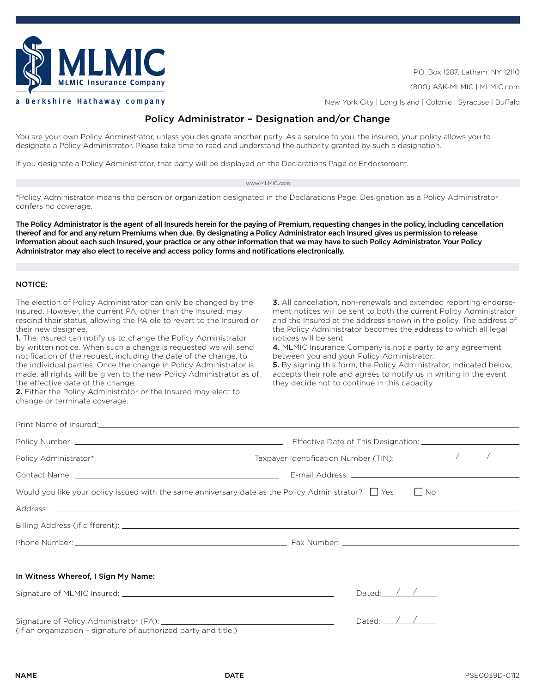

P.O. Box 1287, Latham, NY 12110

(800) ASK-MLMIC | MLMIC.com

New York City | Long Island | Colonie | Syracuse | Buffalo

# Policy Administrator – Designation and/or Change

You are your own Policy Administrator, unless you designate another party. As a service to you, the insured, your policy allows you to designate a Policy Administrator. Please take time to read and understand the authority granted by such a designation.

If you designate a Policy Administrator, that party will be displayed on the Declarations Page or Endorsement.

#### www.MLMIC.com

\*Policy Administrator means the person or organization designated in the Declarations Page. Designation as a Policy Administrator confers no coverage.

The Policy Administrator is the agent of all Insureds herein for the paying of Premium, requesting changes in the policy, including cancellation thereof and for and any return Premiums when due. By designating a Policy Administrator each Insured gives us permission to release information about each such Insured, your practice or any other information that we may have to such Policy Administrator. Your Policy Administrator may also elect to receive and access policy forms and notifications electronically.

#### NOTICE:

The election of Policy Administrator can only be changed by the Insured. However, the current PA, other than the Insured, may rescind their status, allowing the PA ole to revert to the Insured or their new designee.

1. The Insured can notify us to change the Policy Administrator by written notice. When such a change is requested we will send notification of the request, including the date of the change, to the individual parties. Once the change in Policy Administrator is made, all rights will be given to the new Policy Administrator as of the effective date of the change.

the Policy Administrator becomes the address to which all legal notices will be sent. 4. MLMIC Insurance Company is not a party to any agreement between you and your Policy Administrator. 5. By signing this form, the Policy Administrator, indicated below,

accepts their role and agrees to notify us in writing in the event they decide not to continue in this capacity.

3. All cancellation, non-renewals and extended reporting endorsement notices will be sent to both the current Policy Administrator and the Insured at the address shown in the policy. The address of

2. Either the Policy Administrator or the Insured may elect to change or terminate coverage.

| Would you like your policy issued with the same anniversary date as the Policy Administrator?   Yes | $\vert$ $\vert$ No         |
|-----------------------------------------------------------------------------------------------------|----------------------------|
|                                                                                                     |                            |
|                                                                                                     |                            |
|                                                                                                     |                            |
|                                                                                                     |                            |
| In Witness Whereof, I Sign My Name:                                                                 |                            |
|                                                                                                     | Dated: $\sqrt{}/\sqrt{2}$  |
|                                                                                                     |                            |
| (If an organization - signature of authorized party and title.)                                     | Dated: $\angle$ / $\angle$ |
|                                                                                                     |                            |
|                                                                                                     |                            |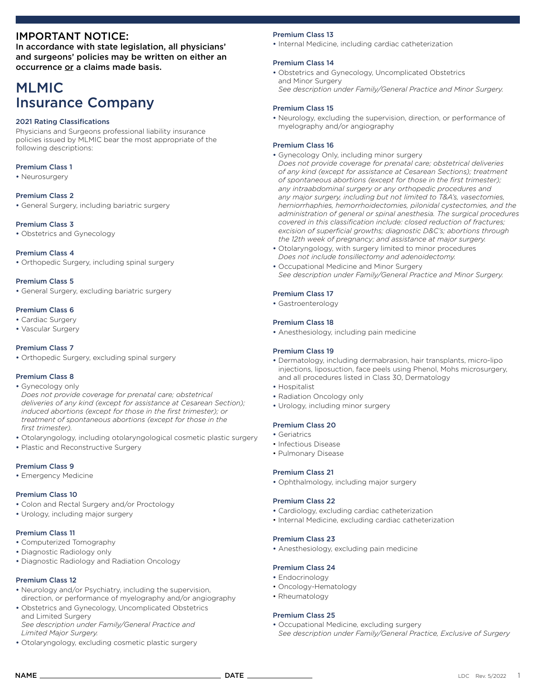## IMPORTANT NOTICE:

In accordance with state legislation, all physicians' and surgeons' policies may be written on either an occurrence or a claims made basis.

# MLMIC Insurance Company

#### 2021 Rating Classifications

Physicians and Surgeons professional liability insurance policies issued by MLMIC bear the most appropriate of the following descriptions:

#### Premium Class 1

• Neurosurgery

#### Premium Class 2

• General Surgery, including bariatric surgery

#### Premium Class 3

• Obstetrics and Gynecology

#### Premium Class 4

• Orthopedic Surgery, including spinal surgery

#### Premium Class 5

• General Surgery, excluding bariatric surgery

#### Premium Class 6

- Cardiac Surgery
- Vascular Surgery

#### Premium Class 7

• Orthopedic Surgery, excluding spinal surgery

#### Premium Class 8

- Gynecology only *Does not provide coverage for prenatal care; obstetrical deliveries of any kind (except for assistance at Cesarean Section); induced abortions (except for those in the first trimester); or*
- *treatment of spontaneous abortions (except for those in the first trimester).*
- Otolaryngology, including otolaryngological cosmetic plastic surgery
- Plastic and Reconstructive Surgery

#### Premium Class 9

• Emergency Medicine

#### Premium Class 10

- Colon and Rectal Surgery and/or Proctology
- Urology, including major surgery

#### Premium Class 11

- Computerized Tomography
- Diagnostic Radiology only
- Diagnostic Radiology and Radiation Oncology

#### Premium Class 12

- Neurology and/or Psychiatry, including the supervision, direction, or performance of myelography and/or angiography
- Obstetrics and Gynecology, Uncomplicated Obstetrics and Limited Surgery *See description under Family/General Practice and Limited Major Surgery.*
- Otolaryngology, excluding cosmetic plastic surgery

#### Premium Class 13

• Internal Medicine, including cardiac catheterization

#### Premium Class 14

- Obstetrics and Gynecology, Uncomplicated Obstetrics and Minor Surgery
- *See description under Family/General Practice and Minor Surgery.*

#### Premium Class 15

• Neurology, excluding the supervision, direction, or performance of myelography and/or angiography

#### Premium Class 16

- Gynecology Only, including minor surgery *Does not provide coverage for prenatal care; obstetrical deliveries of any kind (except for assistance at Cesarean Sections); treatment of spontaneous abortions (except for those in the first trimester); any intraabdominal surgery or any orthopedic procedures and any major surgery, including but not limited to T&A's, vasectomies, herniorrhaphies, hemorrhoidectomies, pilonidal cystectomies, and the administration of general or spinal anesthesia. The surgical procedures covered in this classification include: closed reduction of fractures; excision of superficial growths; diagnostic D&C's; abortions through the 12th week of pregnancy; and assistance at major surgery.*
- Otolaryngology, with surgery limited to minor procedures *Does not include tonsillectomy and adenoidectomy.*
- Occupational Medicine and Minor Surgery *See description under Family/General Practice and Minor Surgery.*

#### Premium Class 17

• Gastroenterology

#### Premium Class 18

• Anesthesiology, including pain medicine

#### Premium Class 19

- Dermatology, including dermabrasion, hair transplants, micro-lipo injections, liposuction, face peels using Phenol, Mohs microsurgery, and all procedures listed in Class 30, Dermatology
- Hospitalist
- Radiation Oncology only
- Urology, including minor surgery

#### Premium Class 20

- Geriatrics
	- Infectious Disease
	- Pulmonary Disease

#### Premium Class 21

• Ophthalmology, including major surgery

#### Premium Class 22

- Cardiology, excluding cardiac catheterization
- Internal Medicine, excluding cardiac catheterization

#### Premium Class 23

• Anesthesiology, excluding pain medicine

#### Premium Class 24

- Endocrinology
- Oncology-Hematology
- Rheumatology

#### Premium Class 25

• Occupational Medicine, excluding surgery *See description under Family/General Practice, Exclusive of Surgery*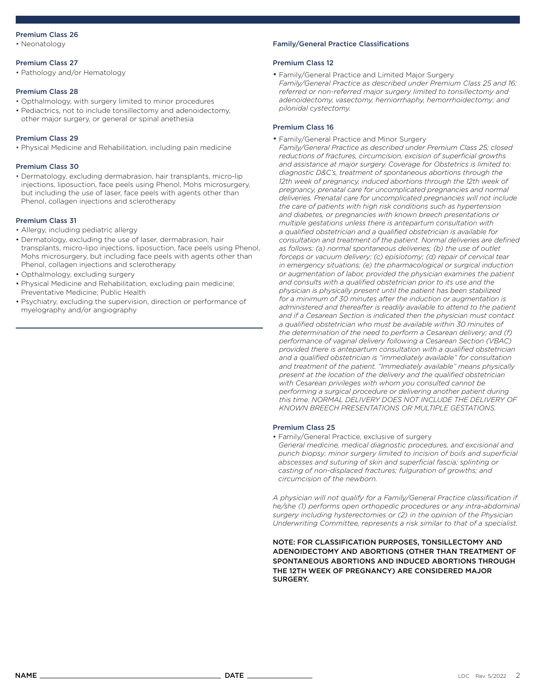#### Premium Class 26

• Neonatology

#### Premium Class 27

• Pathology and/or Hematology

#### Premium Class 28

- Opthalmology, with surgery limited to minor procedures
- Pediactrics, not to include tonsillectomy and adenoidectomy, other major surgery, or general or spinal anethesia

#### Premium Class 29

• Physical Medicine and Rehabilitation, including pain medicine

#### Premium Class 30

• Dermatology, excluding dermabrasion, hair transplants, micro-lip injections, liposuction, face peels using Phenol, Mohs microsurgery, but including the use of laser, face peels with agents other than Phenol, collagen injections and sclerotherapy

#### Premium Class 31

- Allergy, including pediatric allergy
- Dermatology, excluding the use of laser, dermabrasion, hair transplants, micro-lipo injections, liposuction, face peels using Phenol, Mohs microsurgery, but including face peels with agents other than Phenol, collagen injections and sclerotherapy
- Opthalmology, excluding surgery
- Physical Medicine and Rehabilitation, excluding pain medicine; Preventative Medicine; Public Health
- Psychiatry, excluding the supervision, direction or performance of myelography and/or angiography

#### Family/General Practice Classifications

#### Premium Class 12

• Family/General Practice and Limited Major Surgery *Family/General Practice as described under Premium Class 25 and 16; referred or non-referred major surgery limited to tonsillectomy and adenoidectomy, vasectomy, herniorrhaphy, hemorrhoidectomy; and pilonidal cystectomy.*

#### Premium Class 16

• Family/General Practice and Minor Surgery

*Family/General Practice as described under Premium Class 25; closed reductions of fractures, circumcision, excision of superficial growths and assistance at major surgery. Coverage for Obstetrics is limited to: diagnostic D&C's, treatment of spontaneous abortions through the*  12th week of pregnancy, induced abortions through the 12th week of *pregnancy, prenatal care for uncomplicated pregnancies and normal deliveries. Prenatal care for uncomplicated pregnancies will not include the care of patients with high risk conditions such as hypertension and diabetes, or pregnancies with known breech presentations or multiple gestations unless there is antepartum consultation with a qualified obstetrician and a qualified obstetrician is available for consultation and treatment of the patient. Normal deliveries are defined as follows: (a) normal spontaneous deliveries; (b) the use of outlet forceps or vacuum delivery; (c) episiotomy; (d) repair of cervical tear in emergency situations; (e) the pharmacological or surgical induction or augmentation of labor, provided the physician examines the patient and consults with a qualified obstetrician prior to its use and the physician is physically present until the patient has been stabilized for a minimum of 30 minutes after the induction or augmentation is administered and thereafter is readily available to attend to the patient and if a Cesarean Section is indicated then the physician must contact a qualified obstetrician who must be available within 30 minutes of the determination of the need to perform a Cesarean delivery; and (f) performance of vaginal delivery following a Cesarean Section (VBAC) provided there is antepartum consultation with a qualified obstetrician and a qualified obstetrician is "immediately available" for consultation and treatment of the patient. "Immediately available" means physically present at the location of the delivery and the qualified obstetrician with Cesarean privileges with whom you consulted cannot be performing a surgical procedure or delivering another patient during this time. NORMAL DELIVERY DOES NOT INCLUDE THE DELIVERY OF KNOWN BREECH PRESENTATIONS OR MULTIPLE GESTATIONS.*

#### Premium Class 25

- Family/General Practice, exclusive of surgery
- *General medicine, medical diagnostic procedures, and excisional and punch biopsy; minor surgery limited to incision of boils and superficial abscesses and suturing of skin and superficial fascia; splinting or casting of non-displaced fractures; fulguration of growths; and circumcision of the newborn.*

*A physician will not qualify for a Family/General Practice classification if he/she (1) performs open orthopedic procedures or any intra-abdominal surgery including hysterectomies or (2) in the opinion of the Physician Underwriting Committee, represents a risk similar to that of a specialist.*

NOTE: FOR CLASSIFICATION PURPOSES, TONSILLECTOMY AND ADENOIDECTOMY AND ABORTIONS (OTHER THAN TREATMENT OF SPONTANEOUS ABORTIONS AND INDUCED ABORTIONS THROUGH THE 12TH WEEK OF PREGNANCY) ARE CONSIDERED MAJOR SURGERY.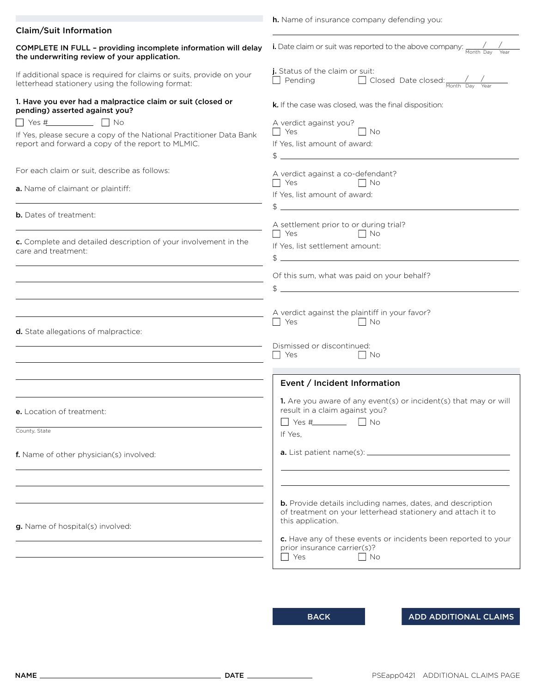|                                                                                                                                   | <b>h.</b> Name of insurance company defending you:                                                                                                                                                                                |
|-----------------------------------------------------------------------------------------------------------------------------------|-----------------------------------------------------------------------------------------------------------------------------------------------------------------------------------------------------------------------------------|
| <b>Claim/Suit Information</b>                                                                                                     |                                                                                                                                                                                                                                   |
| COMPLETE IN FULL - providing incomplete information will delay<br>the underwriting review of your application.                    | <b>i.</b> Date claim or suit was reported to the above company: $\frac{1}{M_{\text{onth}}}}$                                                                                                                                      |
| If additional space is required for claims or suits, provide on your<br>letterhead stationery using the following format:         | j. Status of the claim or suit:<br>$\Box$ Pending $\Box$ Closed Date closed: $\frac{1}{M_{\text{both}} D_{\text{day}}}$                                                                                                           |
| 1. Have you ever had a malpractice claim or suit (closed or<br>pending) asserted against you?                                     | k. If the case was closed, was the final disposition:                                                                                                                                                                             |
| $\Box$ Yes # $\Box$ No                                                                                                            | A verdict against you?                                                                                                                                                                                                            |
| If Yes, please secure a copy of the National Practitioner Data Bank                                                               | $\blacksquare$ Yes<br>$\vert$ $\vert$ No                                                                                                                                                                                          |
| report and forward a copy of the report to MLMIC.                                                                                 | If Yes, list amount of award:<br>$\frac{1}{2}$                                                                                                                                                                                    |
| For each claim or suit, describe as follows:                                                                                      | A verdict against a co-defendant?                                                                                                                                                                                                 |
| a. Name of claimant or plaintiff:                                                                                                 | If Yes, list amount of award:                                                                                                                                                                                                     |
| <b>b.</b> Dates of treatment:                                                                                                     | $\frac{1}{2}$ . The contract of the contract of the contract of the contract of the contract of the contract of the contract of the contract of the contract of the contract of the contract of the contract of the contract of t |
|                                                                                                                                   | A settlement prior to or during trial?<br>$\Box$ Yes $\Box$ No                                                                                                                                                                    |
| c. Complete and detailed description of your involvement in the<br>care and treatment:                                            | If Yes, list settlement amount:                                                                                                                                                                                                   |
|                                                                                                                                   | $\frac{1}{2}$                                                                                                                                                                                                                     |
|                                                                                                                                   | Of this sum, what was paid on your behalf?<br>$\frac{1}{2}$                                                                                                                                                                       |
| <u> 1980 - Johann Stoff, fransk politik (d. 1980)</u>                                                                             | A verdict against the plaintiff in your favor?<br>$\Box$ Yes $\Box$ No                                                                                                                                                            |
| d. State allegations of malpractice:<br>the control of the control of the control of the control of the control of the control of | Dismissed or discontinued:<br>$\Box$ Yes<br>IINo                                                                                                                                                                                  |
|                                                                                                                                   | Event / Incident Information                                                                                                                                                                                                      |
| e. Location of treatment:                                                                                                         | 1. Are you aware of any event(s) or incident(s) that may or will<br>result in a claim against you?                                                                                                                                |
| County, State                                                                                                                     | $\Box$ Yes # $\Box$ No<br>If Yes,                                                                                                                                                                                                 |
| f. Name of other physician(s) involved:                                                                                           |                                                                                                                                                                                                                                   |
|                                                                                                                                   |                                                                                                                                                                                                                                   |
| g. Name of hospital(s) involved:                                                                                                  | <b>b.</b> Provide details including names, dates, and description<br>of treatment on your letterhead stationery and attach it to<br>this application.                                                                             |
| the control of the control of the control of the control of the control of                                                        | c. Have any of these events or incidents been reported to your<br>prior insurance carrier(s)?<br>Yes<br>$\blacksquare$ No                                                                                                         |

BACK ADD ADDITIONAL CLAIMS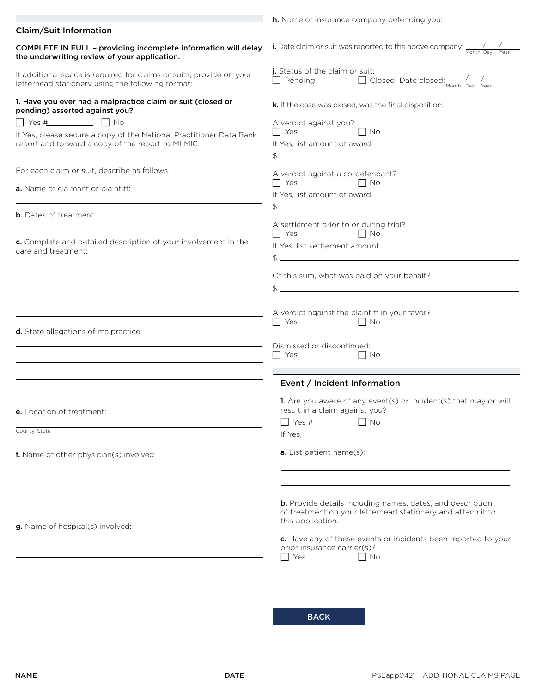|                                                                                                                                   | <b>h.</b> Name of insurance company defending you:                                                                                                                                                                                                                          |
|-----------------------------------------------------------------------------------------------------------------------------------|-----------------------------------------------------------------------------------------------------------------------------------------------------------------------------------------------------------------------------------------------------------------------------|
| <b>Claim/Suit Information</b>                                                                                                     |                                                                                                                                                                                                                                                                             |
| COMPLETE IN FULL - providing incomplete information will delay<br>the underwriting review of your application.                    | <b>i.</b> Date claim or suit was reported to the above company: $\frac{1}{M_{\text{onth}}}}$                                                                                                                                                                                |
| If additional space is required for claims or suits, provide on your<br>letterhead stationery using the following format:         | j. Status of the claim or suit:<br>$\Box$ Pending $\Box$ Closed Date closed: $\frac{1}{M_{\text{both}} D_{\text{day}}}$                                                                                                                                                     |
| 1. Have you ever had a malpractice claim or suit (closed or<br>pending) asserted against you?                                     | k. If the case was closed, was the final disposition:                                                                                                                                                                                                                       |
| $\Box$ Yes # $\Box$ No                                                                                                            | A verdict against you?                                                                                                                                                                                                                                                      |
| If Yes, please secure a copy of the National Practitioner Data Bank<br>report and forward a copy of the report to MLMIC.          | $\blacksquare$ Yes<br>$\vert$ $\vert$ No<br>If Yes, list amount of award:                                                                                                                                                                                                   |
|                                                                                                                                   | $\frac{1}{2}$                                                                                                                                                                                                                                                               |
| For each claim or suit, describe as follows:                                                                                      | A verdict against a co-defendant?                                                                                                                                                                                                                                           |
| a. Name of claimant or plaintiff:                                                                                                 | If Yes, list amount of award:                                                                                                                                                                                                                                               |
| <b>b.</b> Dates of treatment:                                                                                                     | $\frac{1}{2}$ . The contract of the contract of the contract of the contract of the contract of the contract of the contract of the contract of the contract of the contract of the contract of the contract of the contract of t<br>A settlement prior to or during trial? |
| c. Complete and detailed description of your involvement in the<br>care and treatment:                                            | $\Box$ Yes $\Box$ No<br>If Yes, list settlement amount:                                                                                                                                                                                                                     |
|                                                                                                                                   | $\frac{1}{2}$<br>Of this sum, what was paid on your behalf?                                                                                                                                                                                                                 |
|                                                                                                                                   | $\frac{1}{2}$                                                                                                                                                                                                                                                               |
| <u> 1980 - Johann Barbara, martxa alemaniar arg</u>                                                                               | A verdict against the plaintiff in your favor?<br>$\Box$ Yes $\Box$ No                                                                                                                                                                                                      |
| d. State allegations of malpractice:<br>the control of the control of the control of the control of the control of the control of | Dismissed or discontinued:<br>$\Box$ Yes<br>IINo                                                                                                                                                                                                                            |
|                                                                                                                                   | Event / Incident Information                                                                                                                                                                                                                                                |
| e. Location of treatment:                                                                                                         | 1. Are you aware of any event(s) or incident(s) that may or will<br>result in a claim against you?                                                                                                                                                                          |
| County, State                                                                                                                     | If Yes,                                                                                                                                                                                                                                                                     |
| f. Name of other physician(s) involved:                                                                                           |                                                                                                                                                                                                                                                                             |
| g. Name of hospital(s) involved:<br>the control of the control of the control of the control of the control of                    | <b>b.</b> Provide details including names, dates, and description<br>of treatment on your letterhead stationery and attach it to<br>this application.<br>c. Have any of these events or incidents been reported to your<br>prior insurance carrier(s)?<br>Yes<br>$\Box$ No  |

**BACK**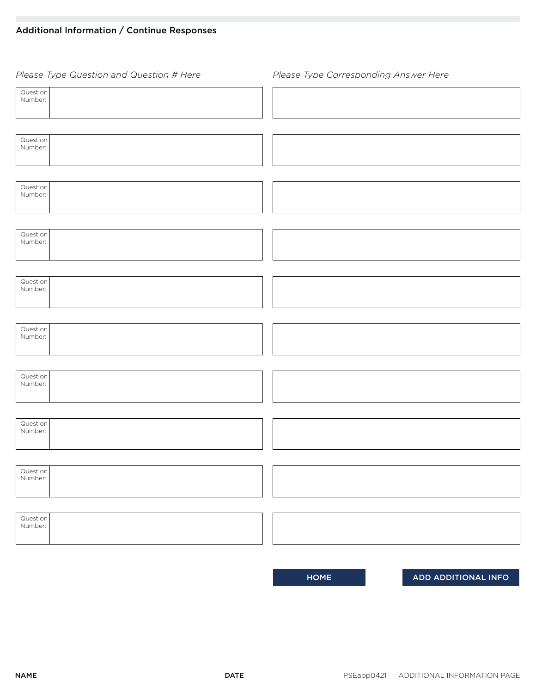# Additional Information / Continue Responses

| Please Type Question and Question # Here | Please Type Corresponding Answer Here |
|------------------------------------------|---------------------------------------|
| Question<br>Number:                      |                                       |
|                                          |                                       |
| Question<br>Number:                      |                                       |
|                                          |                                       |
| Question<br>Number:                      |                                       |
|                                          |                                       |
| Question<br>Number:                      |                                       |
|                                          |                                       |
| Question<br>Number:                      |                                       |
|                                          |                                       |
| Question<br>Number:                      |                                       |
|                                          |                                       |
| Question<br>Number:                      |                                       |
|                                          |                                       |
| Question<br>Number:                      |                                       |
|                                          |                                       |
| Question<br>Number:                      |                                       |
|                                          |                                       |
| Question<br>Number:                      |                                       |

HOME ADD ADDITIONAL INFO